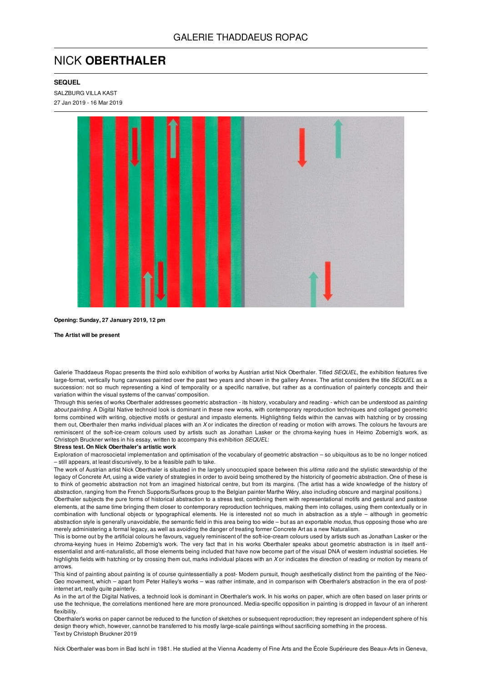## NICK **OBERTHALER**

## **SEQUEL**

SALZBURG VILLA KAST 27 Jan 2019 - 16 Mar 2019



**Opening: Sunday, 27 January 2019, 12 pm**

**The Artist will be present**

Galerie Thaddaeus Ropac presents the third solo exhibition of works by Austrian artist Nick Oberthaler. Titled *SEQUEL*, the exhibition features five large-format, vertically hung canvases painted over the past two years and shown in the gallery Annex. The artist considers the title *SEQUEL* as a succession: not so much representing a kind of temporality or a specific narrative, but rather as a continuation of painterly concepts and their variation within the visual systems of the canvas' composition.

Through this series of works Oberthaler addresses geometric abstraction - its history, vocabulary and reading - which can be understood as *painting about painting*. A Digital Native technoid look is dominant in these new works, with contemporary reproduction techniques and collaged geometric forms combined with writing, objective motifs or gestural and impasto elements. Highlighting fields within the canvas with hatching or by crossing them out, Oberthaler then marks individual places with an *X* or indicates the direction of reading or motion with arrows. The colours he favours are reminiscent of the soft-ice-cream colours used by artists such as Jonathan Lasker or the chroma-keying hues in Heimo Zobernig's work, as Christoph Bruckner writes in his essay, written to accompany this exhibition *SEQUEL*:

## **Stress test. On Nick Oberthaler's artistic work**

Exploration of macrosocietal implementation and optimisation of the vocabulary of geometric abstraction – so ubiquitous as to be no longer noticed – still appears, at least discursively, to be a feasible path to take.

The work of Austrian artist Nick Oberthaler is situated in the largely unoccupied space between this *ultima ratio* and the stylistic stewardship of the legacy of Concrete Art, using a wide variety of strategies in order to avoid being smothered by the historicity of geometric abstraction. One of these is to think of geometric abstraction not from an imagined historical centre, but from its margins. (The artist has a wide knowledge of the history of abstraction, ranging from the French Supports/Surfaces group to the Belgian painter Marthe Wéry, also including obscure and marginal positions.)

Oberthaler subjects the pure forms of historical abstraction to a stress test, combining them with representational motifs and gestural and pastose elements, at the same time bringing them closer to contemporary reproduction techniques, making them into collages, using them contextually or in combination with functional objects or typographical elements. He is interested not so much in abstraction as a style – although in geometric abstraction style is generally unavoidable, the semantic field in this area being too wide – but as an exportable *modus*, thus opposing those who are merely administering a formal legacy, as well as avoiding the danger of treating former Concrete Art as a new Naturalism.

This is borne out by the artificial colours he favours, vaguely reminiscent of the soft-ice-cream colours used by artists such as Jonathan Lasker or the chroma-keying hues in Heimo Zobernig's work. The very fact that in his works Oberthaler speaks about geometric abstraction is in itself antiessentialist and anti-naturalistic, all those elements being included that have now become part of the visual DNA of western industrial societies. He highlights fields with hatching or by crossing them out, marks individual places with an *X* or indicates the direction of reading or motion by means of arrows.

This kind of painting about painting is of course quintessentially a post- Modern pursuit, though aesthetically distinct from the painting of the Neo-Geo movement, which – apart from Peter Halley's works – was rather intimate, and in comparison with Oberthaler's abstraction in the era of postinternet art, really quite painterly.

As in the art of the Digital Natives, a technoid look is dominant in Oberthaler's work. In his works on paper, which are often based on laser prints or use the technique, the correlations mentioned here are more pronounced. Media-specific opposition in painting is dropped in favour of an inherent flexibility.

Oberthaler's works on paper cannot be reduced to the function of sketches or subsequent reproduction; they represent an independent sphere of his design theory which, however, cannot be transferred to his mostly large-scale paintings without sacrificing something in the process. Text by Christoph Bruckner 2019

Nick Oberthaler was born in Bad Ischl in 1981. He studied at the Vienna Academy of Fine Arts and the École Supérieure des Beaux-Arts in Geneva,